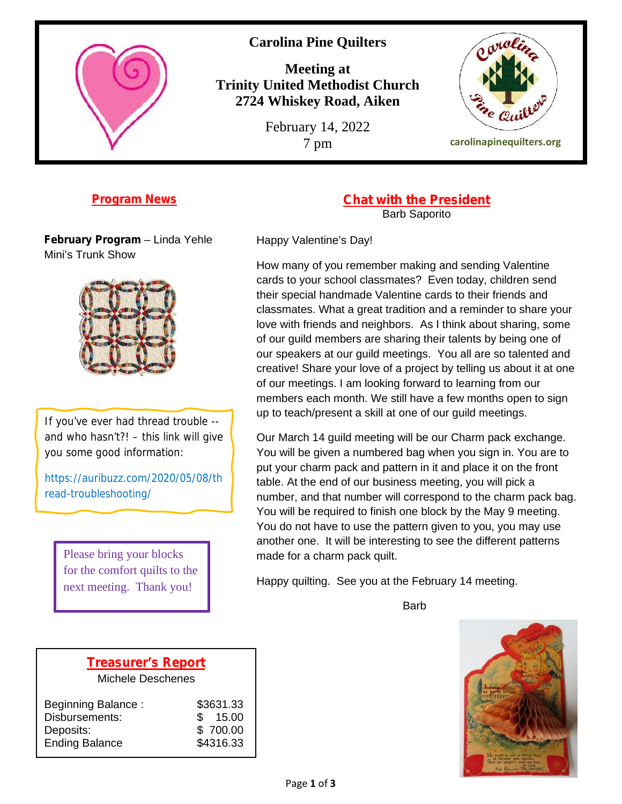

# **Carolina Pine Quilters**

**Meeting at Trinity United Methodist Church 2724 Whiskey Road, Aiken**

February 14, 2022



7 pm **carolinapinequilters.org**

#### **Program News**

**February Program** – Linda Yehle Mini's Trunk Show



If you've ever had thread trouble - and who hasn't?! – this link will give you some good information:

https://auribuzz.com/2020/05/08/th read-troubleshooting/

> Please bring your blocks for the comfort quilts to the next meeting. Thank you!

**Chat with the President** Barb Saporito

Happy Valentine's Day!

How many of you remember making and sending Valentine cards to your school classmates? Even today, children send their special handmade Valentine cards to their friends and classmates. What a great tradition and a reminder to share your love with friends and neighbors. As I think about sharing, some of our guild members are sharing their talents by being one of our speakers at our guild meetings. You all are so talented and creative! Share your love of a project by telling us about it at one of our meetings. I am looking forward to learning from our members each month. We still have a few months open to sign up to teach/present a skill at one of our guild meetings.

Our March 14 guild meeting will be our Charm pack exchange. You will be given a numbered bag when you sign in. You are to put your charm pack and pattern in it and place it on the front table. At the end of our business meeting, you will pick a number, and that number will correspond to the charm pack bag. You will be required to finish one block by the May 9 meeting. You do not have to use the pattern given to you, you may use another one. It will be interesting to see the different patterns made for a charm pack quilt.

Happy quilting. See you at the February 14 meeting.

Barb



# **Treasurer's Report**

Michele Deschenes

| Beginning Balance:<br>Disbursements: | \$3631.33<br>15.00<br>\$. |  |
|--------------------------------------|---------------------------|--|
| Deposits:                            | \$700.00                  |  |
| <b>Ending Balance</b>                | \$4316.33                 |  |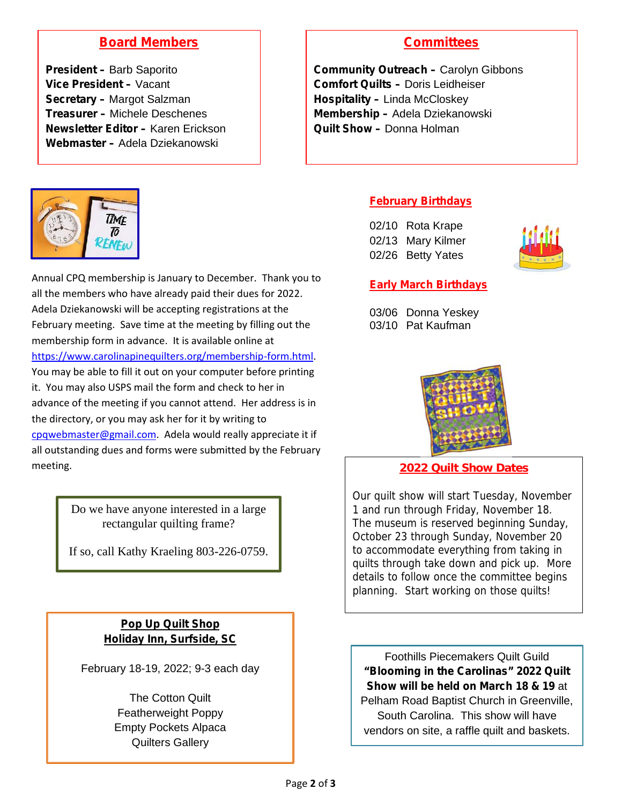# **Board Members**

**President –** Barb Saporito **Vice President –** Vacant **Secretary –** Margot Salzman **Treasurer –** Michele Deschenes **Newsletter Editor –** Karen Erickson **Webmaster –** Adela Dziekanowski



**Community Outreach –** Carolyn Gibbons **Comfort Quilts –** Doris Leidheiser **Hospitality –** Linda McCloskey **Membership –** Adela Dziekanowski **Quilt Show –** Donna Holman



Annual CPQ membership is January to December. Thank you to all the members who have already paid their dues for 2022. Adela Dziekanowski will be accepting registrations at the February meeting. Save time at the meeting by filling out the membership form in advance. It is available online at https://www.carolinapinequilters.org/membership-form.html. You may be able to fill it out on your computer before printing it. You may also USPS mail the form and check to her in advance of the meeting if you cannot attend. Her address is in the directory, or you may ask her for it by writing to cpqwebmaster@gmail.com. Adela would really appreciate it if all outstanding dues and forms were submitted by the February meeting. **2022 Quilt Show Dates**

Do we have anyone interested in a large rectangular quilting frame?

If so, call Kathy Kraeling 803-226-0759.

### **Pop Up Quilt Shop Holiday Inn, Surfside, SC**

February 18-19, 2022; 9-3 each day

The Cotton Quilt Featherweight Poppy Empty Pockets Alpaca Quilters Gallery

#### **February Birthdays**

02/10 Rota Krape 02/13 Mary Kilmer 02/26 Betty Yates



#### **Early March Birthdays**

03/06 Donna Yeskey 03/10 Pat Kaufman



Our quilt show will start Tuesday, November 1 and run through Friday, November 18. The museum is reserved beginning Sunday, October 23 through Sunday, November 20 to accommodate everything from taking in quilts through take down and pick up. More details to follow once the committee begins planning. Start working on those quilts!

Foothills Piecemakers Quilt Guild **"Blooming in the Carolinas" 2022 Quilt Show will be held on March 18 & 19** at Pelham Road Baptist Church in Greenville, South Carolina. This show will have vendors on site, a raffle quilt and baskets.